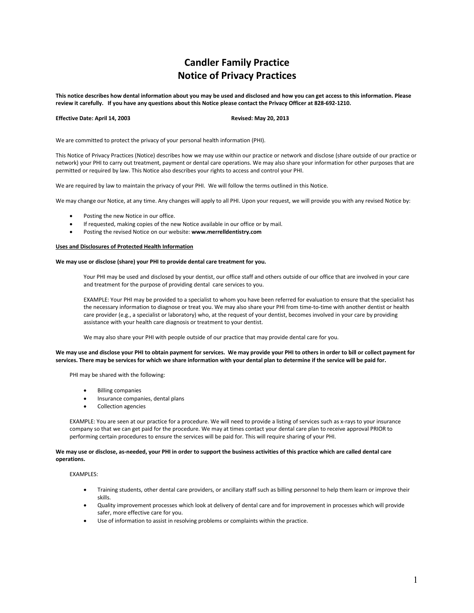# **Candler Family Practice Notice of Privacy Practices**

This notice describes how dental information about you may be used and disclosed and how you can get access to this information. Please review it carefully. If you have any questions about this Notice please contact the Privacy Officer at 828-692-1210.

# **Effective Date: April 14, 2003 Revised: May 20, 2013**

We are committed to protect the privacy of your personal health information (PHI).

This Notice of Privacy Practices (Notice) describes how we may use within our practice or network and disclose (share outside of our practice or network) your PHI to carry out treatment, payment or dental care operations. We may also share your information for other purposes that are permitted or required by law. This Notice also describes your rights to access and control your PHI.<br>We are required by law to maintain the privacy of your PHI. We will follow the terms outlined in this Notice.

We may change our Notice, at any time. Any changes will apply to all PHI. Upon your request, we will provide you with any revised Notice by:

- Posting the new Notice in our office.
- If requested, making copies of the new Notice available in our office or by mail.
- Posting the revised Notice on our website: **www.merrelldentistry.com**

## **Uses and Disclosures of Protected Health Information**

## **We may use or disclose (share) your PHIto provide dental care treatment for you.**

Your PHI may be used and disclosed by your dentist, our office staff and others outside of our office that are involved in your care and treatment for the purpose of providing dental care services to you.

EXAMPLE: Your PHI may be provided to a specialist to whom you have been referred for evaluation to ensure that the specialist has the necessary information to diagnose or treat you. We may also share your PHI from time-to-time with another dentist or health care provider (e.g., a specialist or laboratory) who, at the request of your dentist, becomes involved in your care by providing assistance with your health care diagnosis or treatment to your dentist.

We may also share your PHI with people outside of our practice that may provide dental care for you.

We may use and disclose your PHI to obtain payment for services. We may provide your PHI to others in order to bill or collect payment for services. There may be services for which we share information with your dental plan to determine if the service will be paid for.

PHI may be shared with the following:

- Billing companies
- Insurance companies, dental plans
- Collection agencies

EXAMPLE: You are seen at our practice for a procedure. We will need to provide a listing of services such as x-rays to your insurance company so that we can get paid for the procedure. We may at times contact your dental care plan to receive approval PRIOR to performing certain procedures to ensure the services will be paid for. This will require sharing of your PHI.

# We may use or disclose, as-needed, your PHI in order to support the business activities of this practice which are called dental care **operations.**

EXAMPLES:

- Training students, other dental care providers, or ancillary staff such as billing personnel to help them learn or improve their skills.
- Quality improvement processes which look at delivery of dental care and for improvement in processes which will provide safer, more effective care for you.
- Use of information to assist in resolving problems or complaints within the practice.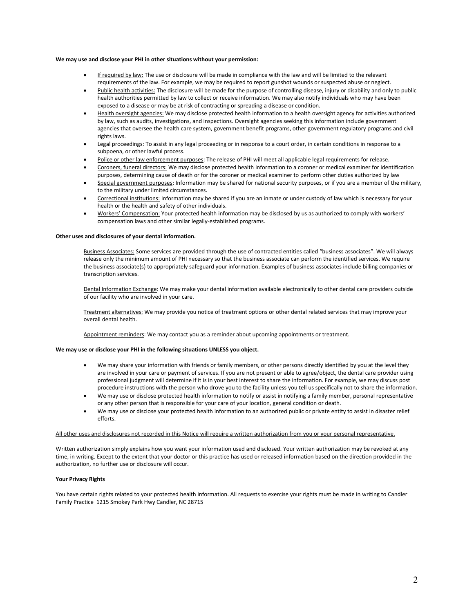**We may use and disclose your PHIin other situations without your permission:**

- If required by law: The use or disclosure will be made in compliance with the law and will be limited to the relevant requirements of the law. For example, we may be required to report gunshot wounds or suspected abuse or neglect.
- Public health activities: The disclosure will be made for the purpose of controlling disease, injury or disability and only to public health authorities permitted by law to collect or receive information. We may also notify individuals who may have been exposed to a disease or may be at risk of contracting or spreading a disease or condition.
- Health oversight agencies: We may disclose protected health information to a health oversight agency for activities authorized by law, such as audits, investigations, and inspections. Oversight agencies seeking this information include government agencies that oversee the health care system, government benefit programs, other government regulatory programs and civil rights laws.
- **Egal proceedings:** To assist in any legal proceeding or in response to a court order, in certain conditions in response to a subpoena, or other lawful process.
- Police or other law enforcement purposes: The release of PHI will meet all applicable legal requirements for release.
- Coroners, funeral directors: We may disclose protected health information to a coroner or medical examiner for identification purposes, determining cause of death or for the coroner or medical examiner to perform other duties authorized by law
- Special government purposes: Information may be shared for national security purposes, or if you are a member of the military, to the military under limited circumstances.
- Correctional institutions: Information may be shared ifyou are an inmate or under custody of law which is necessary for your health or the health and safety of other individuals.
- **Workers' Compensation:** Your protected health information may be disclosed by us as authorized to comply with workers' compensation laws and other similar legally-established programs.

## **Other uses and disclosures of your dental information.**

Business Associates: Some services are provided through the use of contracted entities called "business associates". We will always release only the minimum amount of PHI necessary so that the business associate can perform the identified services. We require the business associate(s) to appropriately safeguard your information. Examples of business associates include billing companies or transcription services.

Dental Information Exchange: We may make your dental information available electronically to other dental care providers outside of our facility who are involved in your care.<br>Treatment alternatives: We may provide you notice of treatment options or other dental related services that may improve your

overall dental health.

Appointment reminders: We may contact you as a reminder about upcoming appointments or treatment.

# **We may use or disclose your PHIin the following situations UNLESS you object.**

- We may share your information with friends or family members, or other persons directly identified by you at the level they are involved in your care or payment of services. If you are not present or able to agree/object, the dental care provider using professional judgment will determine if it is in your best interest to share the information. For example, we may discuss post procedure instructions with the person who drove you to the facility unless you tell us specifically not to share the information.
- We may use or disclose protected health information to notify or assist in notifying a family member, personal representative or any other person that is responsible for your care of your location, general condition or death.
- We may use or disclose your protected health information to an authorized public or private entity to assist in disaster relief efforts.

# All other uses and disclosures not recorded in this Notice will require a written authorization from you or your personal representative.

Written authorization simply explains how you want your information used and disclosed. Your written authorization may be revoked at any time, in writing. Except to the extent that your doctor or this practice has used or released information based on the direction provided in the authorization, no further use or disclosure will occur.

#### **Your Privacy Rights**

You have certain rights related to your protected health information. All requests to exercise your rights must be made in writing to Candler<br>Family Practice 1215 Smokey Park Hwy Candler, NC 28715